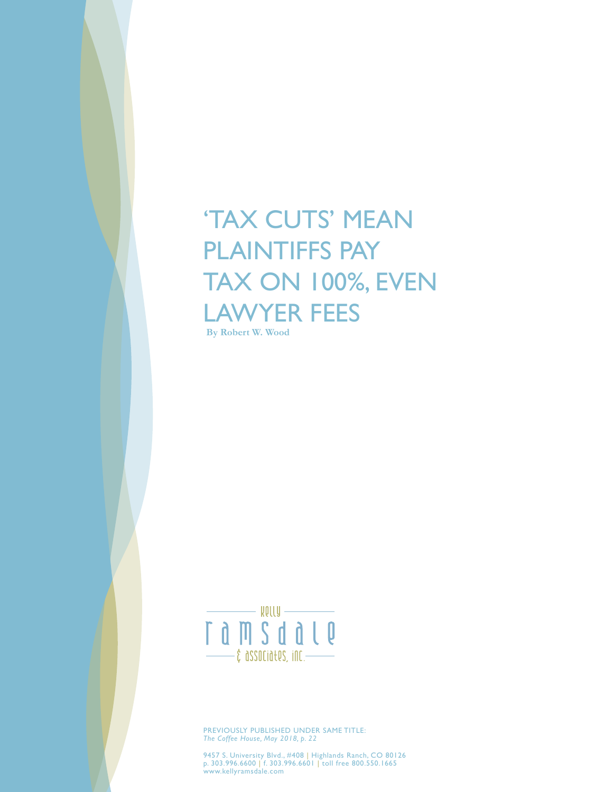# 'TAX CUTS' MEAN PLAINTIFFS PAY TAX ON 100%, EVEN LAWYER FEES

**By Robert W. Wood**



PREVIOUSLY PUBLISHED UNDER SAME TITLE: *The Coffee House, May 2018, p. 22*

9457 S. University Blvd., #408 | Highlands Ranch, CO 80126 p. 303.996.6600 | f. 303.996.6601 | toll free 800.550.1665 www.kellyramsdale.com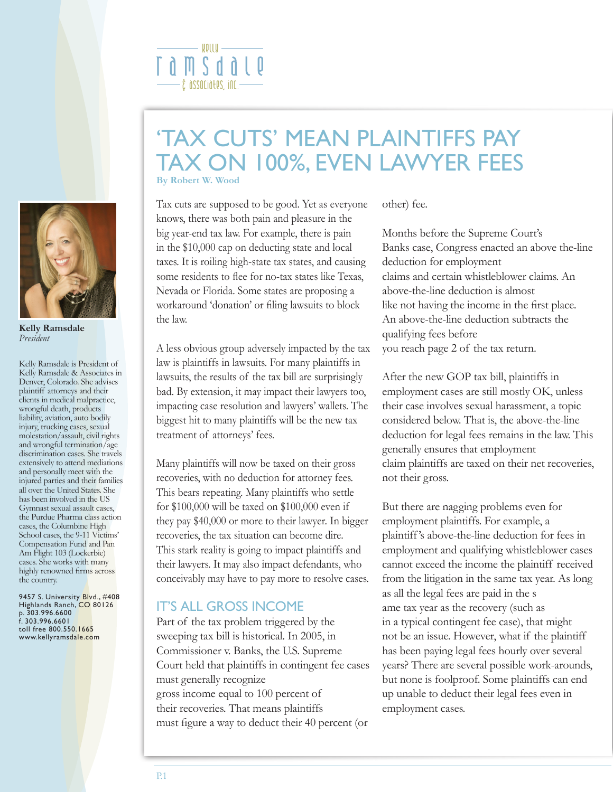

**Kelly Ramsdale** *President*

Kelly Ramsdale is President of Kelly Ramsdale & Associates in Denver, Colorado. She advises plaintiff attorneys and their clients in medical malpractice, wrongful death, products liability, aviation, auto bodily injury, trucking cases, sexual molestation/assault, civil rights and wrongful termination/age discrimination cases. She travels extensively to attend mediations and personally meet with the injured parties and their families all over the United States. She has been involved in the US Gymnast sexual assault cases, the Purdue Pharma class action cases, the Columbine High School cases, the 9-11 Victims' Compensation Fund and Pan Am Flight 103 (Lockerbie) cases. She works with many highly renowned firms across the country.

9457 S. University Blvd., #408 Highlands Ranch, CO 80126 p. 303.996.6600 f. 303.996.6601 toll free 800.550.1665 www.kellyramsdale.com

#### - ROLLA  $n \times n$  $-$ ĉ $\,$  associa $t$ es, inc. $-$

### **By Robert W. Wood** 'TAX CUTS' MEAN PLAINTIFFS PAY TAX ON 100%, EVEN LAWYER FEES

Tax cuts are supposed to be good. Yet as everyone knows, there was both pain and pleasure in the big year-end tax law. For example, there is pain in the \$10,000 cap on deducting state and local taxes. It is roiling high-state tax states, and causing some residents to flee for no-tax states like Texas, Nevada or Florida. Some states are proposing a workaround 'donation' or filing lawsuits to block the law.

A less obvious group adversely impacted by the tax law is plaintiffs in lawsuits. For many plaintiffs in lawsuits, the results of the tax bill are surprisingly bad. By extension, it may impact their lawyers too, impacting case resolution and lawyers' wallets. The biggest hit to many plaintiffs will be the new tax treatment of attorneys' fees.

Many plaintiffs will now be taxed on their gross recoveries, with no deduction for attorney fees. This bears repeating. Many plaintiffs who settle for \$100,000 will be taxed on \$100,000 even if they pay \$40,000 or more to their lawyer. In bigger recoveries, the tax situation can become dire. This stark reality is going to impact plaintiffs and their lawyers. It may also impact defendants, who conceivably may have to pay more to resolve cases.

#### IT'S ALL GROSS INCOME

Part of the tax problem triggered by the sweeping tax bill is historical. In 2005, in Commissioner v. Banks, the U.S. Supreme Court held that plaintiffs in contingent fee cases must generally recognize gross income equal to 100 percent of their recoveries. That means plaintiffs must figure a way to deduct their 40 percent (or

other) fee.

Months before the Supreme Court's Banks case, Congress enacted an above the-line deduction for employment claims and certain whistleblower claims. An above-the-line deduction is almost like not having the income in the first place. An above-the-line deduction subtracts the qualifying fees before you reach page 2 of the tax return.

After the new GOP tax bill, plaintiffs in employment cases are still mostly OK, unless their case involves sexual harassment, a topic considered below. That is, the above-the-line deduction for legal fees remains in the law. This generally ensures that employment claim plaintiffs are taxed on their net recoveries, not their gross.

But there are nagging problems even for employment plaintiffs. For example, a plaintiff's above-the-line deduction for fees in employment and qualifying whistleblower cases cannot exceed the income the plaintiff received from the litigation in the same tax year. As long as all the legal fees are paid in the s ame tax year as the recovery (such as in a typical contingent fee case), that might not be an issue. However, what if the plaintiff has been paying legal fees hourly over several years? There are several possible work-arounds, but none is foolproof. Some plaintiffs can end up unable to deduct their legal fees even in employment cases.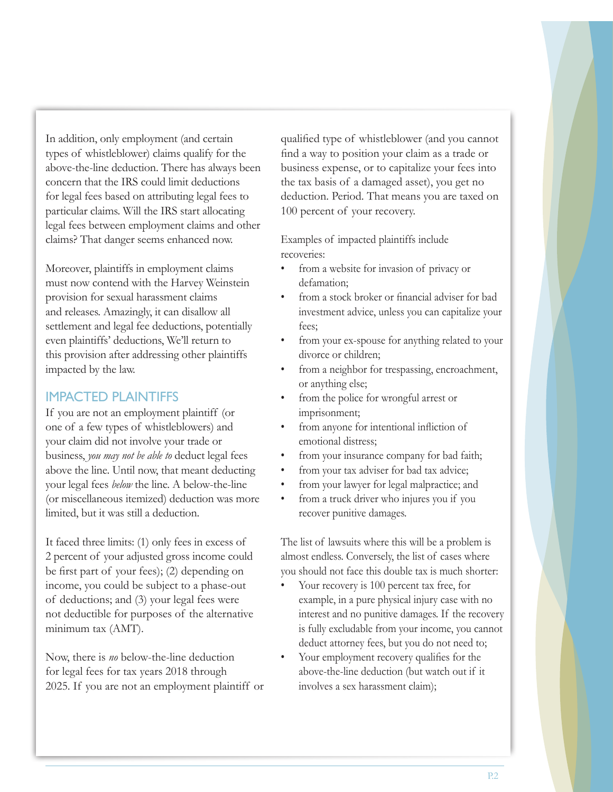In addition, only employment (and certain types of whistleblower) claims qualify for the above-the-line deduction. There has always been concern that the IRS could limit deductions for legal fees based on attributing legal fees to particular claims. Will the IRS start allocating legal fees between employment claims and other claims? That danger seems enhanced now.

Moreover, plaintiffs in employment claims must now contend with the Harvey Weinstein provision for sexual harassment claims and releases. Amazingly, it can disallow all settlement and legal fee deductions, potentially even plaintiffs' deductions, We'll return to this provision after addressing other plaintiffs impacted by the law.

#### IMPACTED PLAINTIFFS

If you are not an employment plaintiff (or one of a few types of whistleblowers) and your claim did not involve your trade or business, *you may not be able to* deduct legal fees above the line. Until now, that meant deducting your legal fees *below* the line. A below-the-line (or miscellaneous itemized) deduction was more limited, but it was still a deduction.

It faced three limits: (1) only fees in excess of 2 percent of your adjusted gross income could be first part of your fees); (2) depending on income, you could be subject to a phase-out of deductions; and (3) your legal fees were not deductible for purposes of the alternative minimum tax (AMT).

Now, there is *no* below-the-line deduction for legal fees for tax years 2018 through 2025. If you are not an employment plaintiff or qualified type of whistleblower (and you cannot find a way to position your claim as a trade or business expense, or to capitalize your fees into the tax basis of a damaged asset), you get no deduction. Period. That means you are taxed on 100 percent of your recovery.

Examples of impacted plaintiffs include recoveries:

- from a website for invasion of privacy or defamation;
- from a stock broker or financial adviser for bad investment advice, unless you can capitalize your fees;
- from your ex-spouse for anything related to your divorce or children;
- from a neighbor for trespassing, encroachment, or anything else;
- from the police for wrongful arrest or imprisonment;
- from anyone for intentional infliction of emotional distress;
- from your insurance company for bad faith;
- from your tax adviser for bad tax advice;
- from your lawyer for legal malpractice; and
- from a truck driver who injures you if you recover punitive damages.

The list of lawsuits where this will be a problem is almost endless. Conversely, the list of cases where you should not face this double tax is much shorter:

- Your recovery is 100 percent tax free, for example, in a pure physical injury case with no interest and no punitive damages. If the recovery is fully excludable from your income, you cannot deduct attorney fees, but you do not need to;
- Your employment recovery qualifies for the above-the-line deduction (but watch out if it involves a sex harassment claim);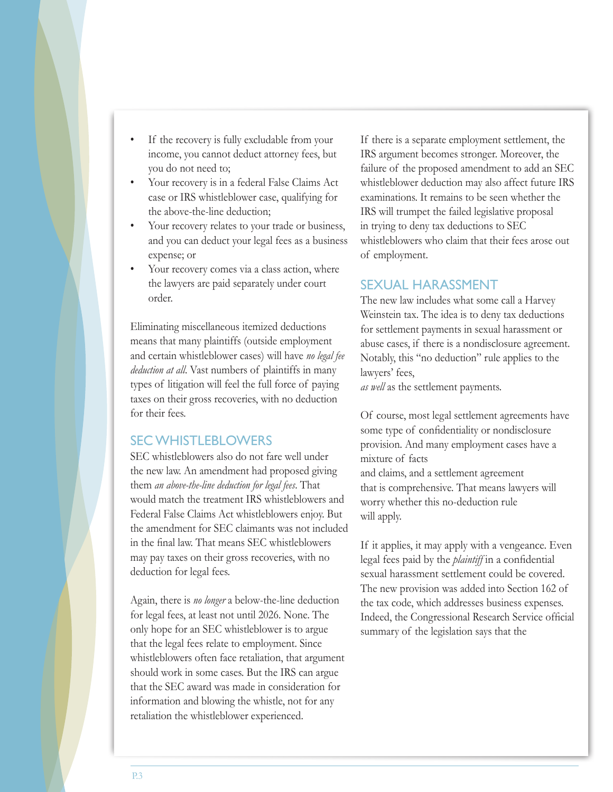- If the recovery is fully excludable from your income, you cannot deduct attorney fees, but you do not need to;
- Your recovery is in a federal False Claims Act case or IRS whistleblower case, qualifying for the above-the-line deduction;
- Your recovery relates to your trade or business, and you can deduct your legal fees as a business expense; or
- Your recovery comes via a class action, where the lawyers are paid separately under court order.

Eliminating miscellaneous itemized deductions means that many plaintiffs (outside employment and certain whistleblower cases) will have *no legal fee deduction at all*. Vast numbers of plaintiffs in many types of litigation will feel the full force of paying taxes on their gross recoveries, with no deduction for their fees.

#### SEC WHISTLEBLOWERS

SEC whistleblowers also do not fare well under the new law. An amendment had proposed giving them *an above-the-line deduction for legal fees*. That would match the treatment IRS whistleblowers and Federal False Claims Act whistleblowers enjoy. But the amendment for SEC claimants was not included in the final law. That means SEC whistleblowers may pay taxes on their gross recoveries, with no deduction for legal fees.

Again, there is *no longer* a below-the-line deduction for legal fees, at least not until 2026. None. The only hope for an SEC whistleblower is to argue that the legal fees relate to employment. Since whistleblowers often face retaliation, that argument should work in some cases. But the IRS can argue that the SEC award was made in consideration for information and blowing the whistle, not for any retaliation the whistleblower experienced.

If there is a separate employment settlement, the IRS argument becomes stronger. Moreover, the failure of the proposed amendment to add an SEC whistleblower deduction may also affect future IRS examinations. It remains to be seen whether the IRS will trumpet the failed legislative proposal in trying to deny tax deductions to SEC whistleblowers who claim that their fees arose out of employment.

#### SEXUAL HARASSMENT

The new law includes what some call a Harvey Weinstein tax. The idea is to deny tax deductions for settlement payments in sexual harassment or abuse cases, if there is a nondisclosure agreement. Notably, this "no deduction" rule applies to the lawyers' fees,

*as well* as the settlement payments.

Of course, most legal settlement agreements have some type of confidentiality or nondisclosure provision. And many employment cases have a mixture of facts

and claims, and a settlement agreement that is comprehensive. That means lawyers will worry whether this no-deduction rule will apply.

If it applies, it may apply with a vengeance. Even legal fees paid by the *plaintiff* in a confidential sexual harassment settlement could be covered. The new provision was added into Section 162 of the tax code, which addresses business expenses. Indeed, the Congressional Research Service official summary of the legislation says that the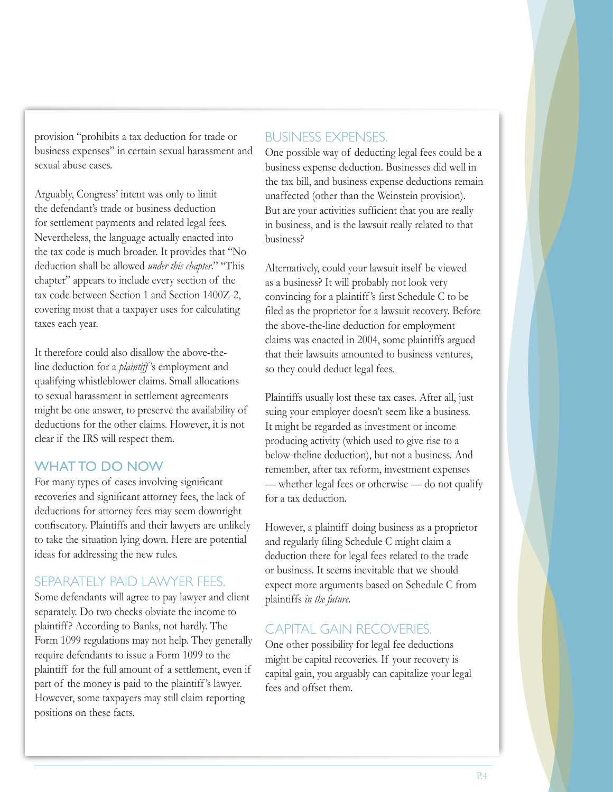provision "prohibits a tax deduction for trade or business expenses" in certain sexual harassment and sexual abuse cases.

Arguably, Congress' intent was only to limit the defendant's trade or business deduction for settlement payments and related legal fees. Nevertheless, the language actually enacted into the tax code is much broader. It provides that "No deduction shall be allowed *under this chapter*." "This chapter" appears to include every section of the tax code between Section 1 and Section 1400Z-2, covering most that a taxpayer uses for calculating taxes each year.

It therefore could also disallow the above-theline deduction for a *plaintiff* 's employment and qualifying whistleblower claims. Small allocations to sexual harassment in settlement agreements might be one answer, to preserve the availability of deductions for the other claims. However, it is not clear if the IRS will respect them.

#### WHAT TO DO NOW

For many types of cases involving significant recoveries and significant attorney fees, the lack of deductions for attorney fees may seem downright confiscatory. Plaintiffs and their lawyers are unlikely to take the situation lying down. Here are potential ideas for addressing the new rules.

#### SEPARATELY PAID LAWYER FEES.

Some defendants will agree to pay lawyer and client separately. Do two checks obviate the income to plaintiff? According to Banks, not hardly. The Form 1099 regulations may not help. They generally require defendants to issue a Form 1099 to the plaintiff for the full amount of a settlement, even if part of the money is paid to the plaintiff 's lawyer. However, some taxpayers may still claim reporting positions on these facts.

#### BUSINESS EXPENSES.

One possible way of deducting legal fees could be a business expense deduction. Businesses did well in the tax bill, and business expense deductions remain unaffected (other than the Weinstein provision). But are your activities sufficient that you are really in business, and is the lawsuit really related to that business?

Alternatively, could your lawsuit itself be viewed as a business? It will probably not look very convincing for a plaintiff 's first Schedule C to be filed as the proprietor for a lawsuit recovery. Before the above-the-line deduction for employment claims was enacted in 2004, some plaintiffs argued that their lawsuits amounted to business ventures, so they could deduct legal fees.

Plaintiffs usually lost these tax cases. After all, just suing your employer doesn't seem like a business. It might be regarded as investment or income producing activity (which used to give rise to a below-theline deduction), but not a business. And remember, after tax reform, investment expenses — whether legal fees or otherwise — do not qualify for a tax deduction.

However, a plaintiff doing business as a proprietor and regularly filing Schedule C might claim a deduction there for legal fees related to the trade or business. It seems inevitable that we should expect more arguments based on Schedule C from plaintiffs *in the future.*

#### CAPITAL GAIN RECOVERIES.

One other possibility for legal fee deductions might be capital recoveries. If your recovery is capital gain, you arguably can capitalize your legal fees and offset them.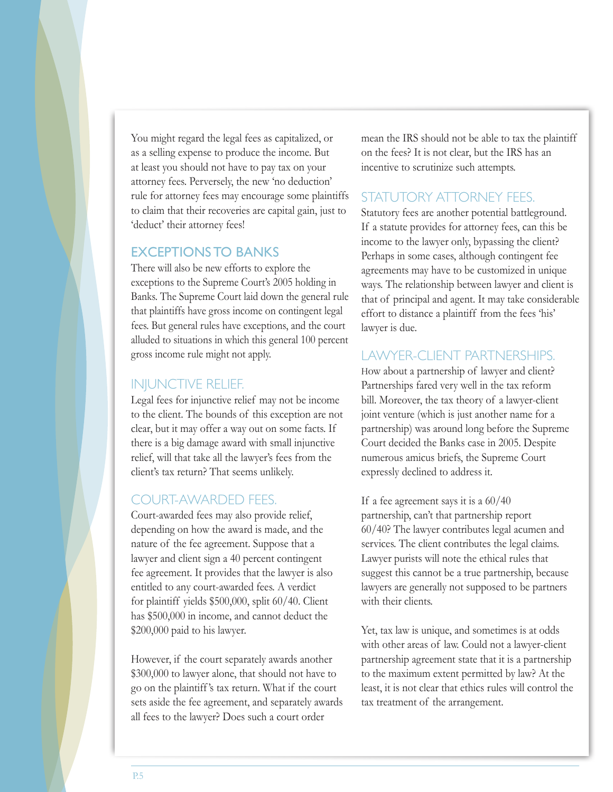You might regard the legal fees as capitalized, or as a selling expense to produce the income. But at least you should not have to pay tax on your attorney fees. Perversely, the new 'no deduction' rule for attorney fees may encourage some plaintiffs to claim that their recoveries are capital gain, just to 'deduct' their attorney fees!

#### EXCEPTIONS TO BANKS

There will also be new efforts to explore the exceptions to the Supreme Court's 2005 holding in Banks. The Supreme Court laid down the general rule that plaintiffs have gross income on contingent legal fees. But general rules have exceptions, and the court alluded to situations in which this general 100 percent gross income rule might not apply.

#### INJUNCTIVE RELIEF.

Legal fees for injunctive relief may not be income to the client. The bounds of this exception are not clear, but it may offer a way out on some facts. If there is a big damage award with small injunctive relief, will that take all the lawyer's fees from the client's tax return? That seems unlikely.

#### COURT-AWARDED FEES.

Court-awarded fees may also provide relief, depending on how the award is made, and the nature of the fee agreement. Suppose that a lawyer and client sign a 40 percent contingent fee agreement. It provides that the lawyer is also entitled to any court-awarded fees. A verdict for plaintiff yields \$500,000, split 60/40. Client has \$500,000 in income, and cannot deduct the \$200,000 paid to his lawyer.

However, if the court separately awards another \$300,000 to lawyer alone, that should not have to go on the plaintiff 's tax return. What if the court sets aside the fee agreement, and separately awards all fees to the lawyer? Does such a court order

mean the IRS should not be able to tax the plaintiff on the fees? It is not clear, but the IRS has an incentive to scrutinize such attempts.

#### STATUTORY ATTORNEY FEES.

Statutory fees are another potential battleground. If a statute provides for attorney fees, can this be income to the lawyer only, bypassing the client? Perhaps in some cases, although contingent fee agreements may have to be customized in unique ways. The relationship between lawyer and client is that of principal and agent. It may take considerable effort to distance a plaintiff from the fees 'his' lawyer is due.

#### LAWYER-CLIENT PARTNERSHIPS.

How about a partnership of lawyer and client? Partnerships fared very well in the tax reform bill. Moreover, the tax theory of a lawyer-client joint venture (which is just another name for a partnership) was around long before the Supreme Court decided the Banks case in 2005. Despite numerous amicus briefs, the Supreme Court expressly declined to address it.

If a fee agreement says it is a 60/40

partnership, can't that partnership report 60/40? The lawyer contributes legal acumen and services. The client contributes the legal claims. Lawyer purists will note the ethical rules that suggest this cannot be a true partnership, because lawyers are generally not supposed to be partners with their clients.

Yet, tax law is unique, and sometimes is at odds with other areas of law. Could not a lawyer-client partnership agreement state that it is a partnership to the maximum extent permitted by law? At the least, it is not clear that ethics rules will control the tax treatment of the arrangement.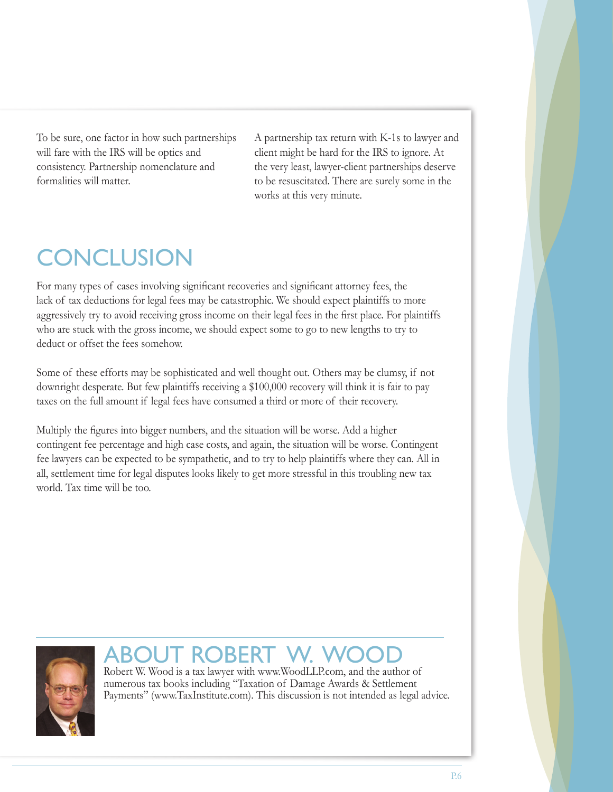To be sure, one factor in how such partnerships will fare with the IRS will be optics and consistency. Partnership nomenclature and formalities will matter.

A partnership tax return with K-1s to lawyer and client might be hard for the IRS to ignore. At the very least, lawyer-client partnerships deserve to be resuscitated. There are surely some in the works at this very minute.

## **CONCLUSION**

For many types of cases involving significant recoveries and significant attorney fees, the lack of tax deductions for legal fees may be catastrophic. We should expect plaintiffs to more aggressively try to avoid receiving gross income on their legal fees in the first place. For plaintiffs who are stuck with the gross income, we should expect some to go to new lengths to try to deduct or offset the fees somehow.

Some of these efforts may be sophisticated and well thought out. Others may be clumsy, if not downright desperate. But few plaintiffs receiving a \$100,000 recovery will think it is fair to pay taxes on the full amount if legal fees have consumed a third or more of their recovery.

Multiply the figures into bigger numbers, and the situation will be worse. Add a higher contingent fee percentage and high case costs, and again, the situation will be worse. Contingent fee lawyers can be expected to be sympathetic, and to try to help plaintiffs where they can. All in all, settlement time for legal disputes looks likely to get more stressful in this troubling new tax world. Tax time will be too.



### ILIT ROBERT N

Robert W. Wood is a tax lawyer with www.WoodLLP.com, and the author of numerous tax books including "Taxation of Damage Awards & Settlement Payments" (www.TaxInstitute.com). This discussion is not intended as legal advice.